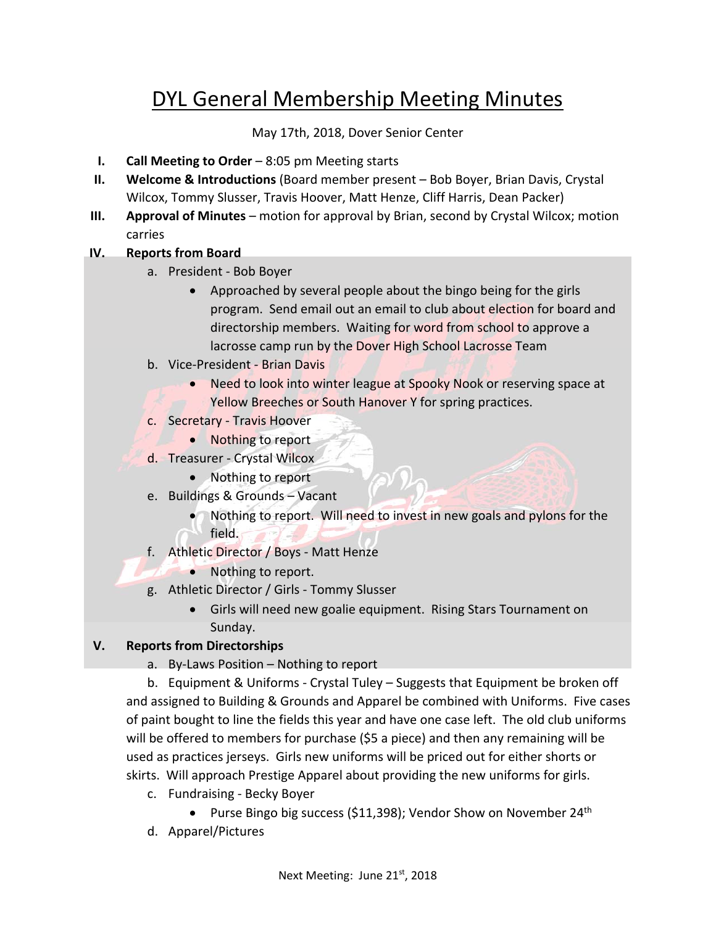# DYL General Membership Meeting Minutes

May 17th, 2018, Dover Senior Center

- **I. Call Meeting to Order** 8:05 pm Meeting starts
- **II. Welcome & Introductions** (Board member present Bob Boyer, Brian Davis, Crystal Wilcox, Tommy Slusser, Travis Hoover, Matt Henze, Cliff Harris, Dean Packer)
- **III. Approval of Minutes** motion for approval by Brian, second by Crystal Wilcox; motion carries

#### **IV. Reports from Board**

- a. President ‐ Bob Boyer
	- Approached by several people about the bingo being for the girls program. Send email out an email to club about election for board and directorship members. Waiting for word from school to approve a lacrosse camp run by the Dover High School Lacrosse Team
- b. Vice‐President ‐ Brian Davis
	- Need to look into winter league at Spooky Nook or reserving space at Yellow Breeches or South Hanover Y for spring practices.
- c. Secretary ‐ Travis Hoover
- Nothing to report
- d. Treasurer ‐ Crystal Wilcox
	- Nothing to report
- e. Buildings & Grounds Vacant
	- Nothing to report. Will need to invest in new goals and pylons for the field.
- f. Athletic Director / Boys ‐ Matt Henze
	- Nothing to report.
- g. Athletic Director / Girls ‐ Tommy Slusser
	- Girls will need new goalie equipment. Rising Stars Tournament on Sunday.

#### **V. Reports from Directorships**

a. By‐Laws Position – Nothing to report

b. Equipment & Uniforms ‐ Crystal Tuley – Suggests that Equipment be broken off and assigned to Building & Grounds and Apparel be combined with Uniforms. Five cases of paint bought to line the fields this year and have one case left. The old club uniforms will be offered to members for purchase (\$5 a piece) and then any remaining will be used as practices jerseys. Girls new uniforms will be priced out for either shorts or skirts. Will approach Prestige Apparel about providing the new uniforms for girls.

- c. Fundraising ‐ Becky Boyer
	- Purse Bingo big success (\$11,398); Vendor Show on November 24<sup>th</sup>
- d. Apparel/Pictures